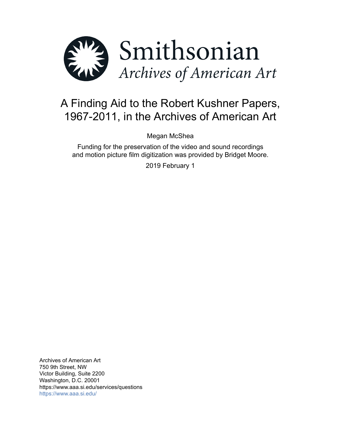

# A Finding Aid to the Robert Kushner Papers, 1967-2011, in the Archives of American Art

Megan McShea

Funding for the preservation of the video and sound recordings and motion picture film digitization was provided by Bridget Moore.

2019 February 1

Archives of American Art 750 9th Street, NW Victor Building, Suite 2200 Washington, D.C. 20001 https://www.aaa.si.edu/services/questions <https://www.aaa.si.edu/>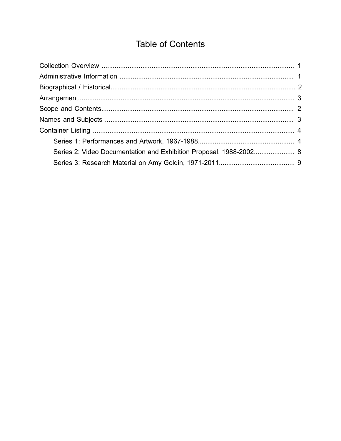# **Table of Contents**

<span id="page-1-0"></span>

| Series 2: Video Documentation and Exhibition Proposal, 1988-2002 8 |  |
|--------------------------------------------------------------------|--|
|                                                                    |  |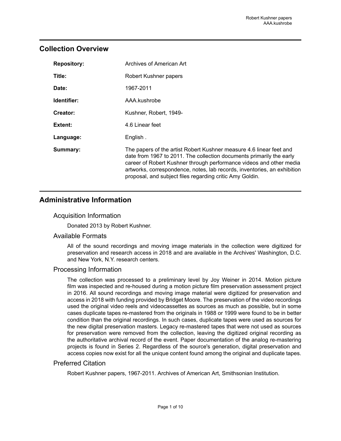# <span id="page-2-0"></span>**Collection Overview**

| <b>Repository:</b> | Archives of American Art                                                                                                                                                                                                                                                                                                                                   |
|--------------------|------------------------------------------------------------------------------------------------------------------------------------------------------------------------------------------------------------------------------------------------------------------------------------------------------------------------------------------------------------|
| Title:             | Robert Kushner papers                                                                                                                                                                                                                                                                                                                                      |
| Date:              | 1967-2011                                                                                                                                                                                                                                                                                                                                                  |
| Identifier:        | AAA.kushrobe                                                                                                                                                                                                                                                                                                                                               |
| Creator:           | Kushner, Robert, 1949-                                                                                                                                                                                                                                                                                                                                     |
| Extent:            | 4.6 Linear feet                                                                                                                                                                                                                                                                                                                                            |
| Language:          | English.                                                                                                                                                                                                                                                                                                                                                   |
| Summary:           | The papers of the artist Robert Kushner measure 4.6 linear feet and<br>date from 1967 to 2011. The collection documents primarily the early<br>career of Robert Kushner through performance videos and other media<br>artworks, correspondence, notes, lab records, inventories, an exhibition<br>proposal, and subject files regarding critic Amy Goldin. |

# <span id="page-2-1"></span>**Administrative Information**

### Acquisition Information

Donated 2013 by Robert Kushner.

### Available Formats

All of the sound recordings and moving image materials in the collection were digitized for preservation and research access in 2018 and are available in the Archives' Washington, D.C. and New York, N.Y. research centers.

### Processing Information

The collection was processed to a preliminary level by Joy Weiner in 2014. Motion picture film was inspected and re-housed during a motion picture film preservation assessment project in 2016. All sound recordings and moving image material were digitized for preservation and access in 2018 with funding provided by Bridget Moore. The preservation of the video recordings used the original video reels and videocassettes as sources as much as possible, but in some cases duplicate tapes re-mastered from the originals in 1988 or 1999 were found to be in better condition than the original recordings. In such cases, duplicate tapes were used as sources for the new digital preservation masters. Legacy re-mastered tapes that were not used as sources for preservation were removed from the collection, leaving the digitized original recording as the authoritative archival record of the event. Paper documentation of the analog re-mastering projects is found in Series 2. Regardless of the source's generation, digital preservation and access copies now exist for all the unique content found among the original and duplicate tapes.

### Preferred Citation

Robert Kushner papers, 1967-2011. Archives of American Art, Smithsonian Institution.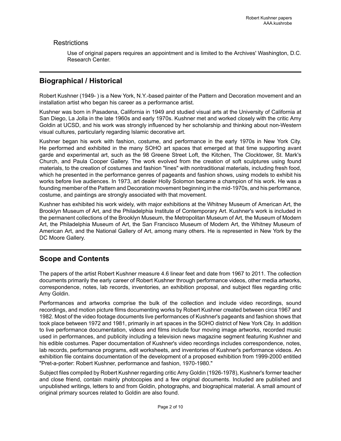### **Restrictions**

Use of original papers requires an appointment and is limited to the Archives' Washington, D.C. Research Center.

# <span id="page-3-0"></span>**Biographical / Historical**

Robert Kushner (1949- ) is a New York, N.Y.-based painter of the Pattern and Decoration movement and an installation artist who began his career as a performance artist.

Kushner was born in Pasadena, California in 1949 and studied visual arts at the University of California at San Diego, La Jolla in the late 1960s and early 1970s. Kushner met and worked closely with the critic Amy Goldin at UCSD, and his work was strongly influenced by her scholarship and thinking about non-Western visual cultures, particularly regarding Islamic decorative art.

Kushner began his work with fashion, costume, and performance in the early 1970s in New York City. He performed and exhibited in the many SOHO art spaces that emerged at that time supporting avant garde and experimental art, such as the 98 Greene Street Loft, the Kitchen, The Clocktower, St. Mark's Church, and Paula Cooper Gallery. The work evolved from the creation of soft sculptures using found materials, to the creation of costumes and fashion "lines" with nontraditional materials, including fresh food, which he presented in the performance genres of pageants and fashion shows, using models to exhibit his works before live audiences. In 1973, art dealer Holly Solomon became a champion of his work. He was a founding member of the Pattern and Decoration movement beginning in the mid-1970s, and his performance, costume, and paintings are strongly associated with that movement.

Kushner has exhibited his work widely, with major exhibitions at the Whitney Museum of American Art, the Brooklyn Museum of Art, and the Philadelphia Institute of Contemporary Art. Kushner's work is included in the permanent collections of the Brooklyn Museum, the Metropolitan Museum of Art, the Museum of Modern Art, the Philadelphia Museum of Art, the San Francisco Museum of Modern Art, the Whitney Museum of American Art, and the National Gallery of Art, among many others. He is represented in New York by the DC Moore Gallery.

# <span id="page-3-1"></span>**Scope and Contents**

The papers of the artist Robert Kushner measure 4.6 linear feet and date from 1967 to 2011. The collection documents primarily the early career of Robert Kushner through performance videos, other media artworks, correspondence, notes, lab records, inventories, an exhibition proposal, and subject files regarding critic Amy Goldin.

Performances and artworks comprise the bulk of the collection and include video recordings, sound recordings, and motion picture films documenting works by Robert Kushner created between circa 1967 and 1982. Most of the video footage documents live performances of Kushner's pageants and fashion shows that took place between 1972 and 1981, primarily in art spaces in the SOHO district of New York City. In addition to live performance documentation, videos and films include four moving image artworks, recorded music used in performances, and publicity including a television news magazine segment featuring Kushner and his edible costumes. Paper documentation of Kushner's video recordings includes correspondence, notes, lab records, performance programs, edit worksheets, and inventories of Kushner's performance videos. An exhibition file contains documentation of the development of a proposed exhibition from 1999-2000 entitled "Pret-a-porter: Robert Kushner, performance and fashion, 1970-1980."

Subject files compiled by Robert Kushner regarding critic Amy Goldin (1926-1978), Kushner's former teacher and close friend, contain mainly photocopies and a few original documents. Included are published and unpublished writings, letters to and from Goldin, photographs, and biographical material. A small amount of original primary sources related to Goldin are also found.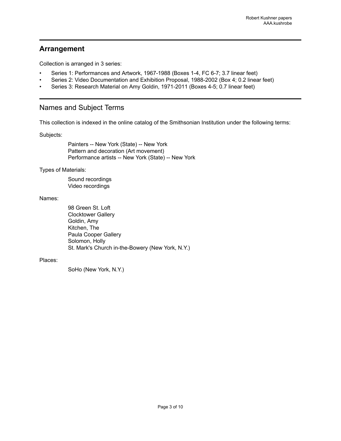# <span id="page-4-0"></span>**Arrangement**

Collection is arranged in 3 series:

- Series 1: Performances and Artwork, 1967-1988 (Boxes 1-4, FC 6-7; 3.7 linear feet)
- Series 2: Video Documentation and Exhibition Proposal, 1988-2002 (Box 4; 0.2 linear feet)
- Series 3: Research Material on Amy Goldin, 1971-2011 (Boxes 4-5; 0.7 linear feet)

# <span id="page-4-1"></span>Names and Subject Terms

This collection is indexed in the online catalog of the Smithsonian Institution under the following terms:

Subjects:

Painters -- New York (State) -- New York Pattern and decoration (Art movement) Performance artists -- New York (State) -- New York

Types of Materials:

Sound recordings Video recordings

Names:

98 Green St. Loft Clocktower Gallery Goldin, Amy Kitchen, The Paula Cooper Gallery Solomon, Holly St. Mark's Church in-the-Bowery (New York, N.Y.)

#### Places:

SoHo (New York, N.Y.)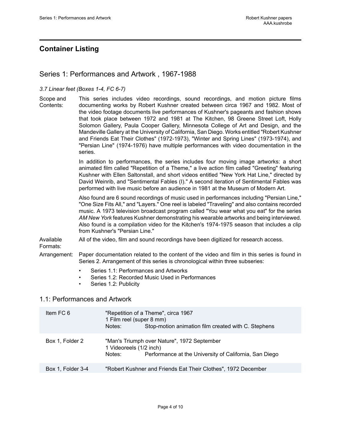# <span id="page-5-0"></span>**Container Listing**

### <span id="page-5-1"></span>Series 1: Performances and Artwork , 1967-1988

#### *3.7 Linear feet (Boxes 1-4, FC 6-7)*

Scope and Contents: This series includes video recordings, sound recordings, and motion picture films documenting works by Robert Kushner created between circa 1967 and 1982. Most of the video footage documents live performances of Kushner's pageants and fashion shows that took place between 1972 and 1981 at The Kitchen, 98 Greene Street Loft, Holly Solomon Gallery, Paula Cooper Gallery, Minnesota College of Art and Design, and the Mandeville Galleryat the Universityof California, San Diego. Worksentitled"Robert Kushner and Friends Eat Their Clothes" (1972-1973), "Winter and Spring Lines" (1973-1974), and "Persian Line" (1974-1976) have multiple performances with video documentation in the series.

> In addition to performances, the series includes four moving image artworks: a short animated film called "Repetition of a Theme," a live action film called "Greeting" featuring Kushner with Ellen Saltonstall, and short videos entitled "New York Hat Line," directed by David Weinrib, and "Sentimental Fables (I)." A second iteration of Sentimental Fables was performed with live music before an audience in 1981 at the Museum of Modern Art.

> Also found are 6 sound recordings of music used in performances including "Persian Line," "One Size Fits All," and "Layers." One reel is labeled "Traveling" and also contains recorded music. A 1973 television broadcast program called "You wear what you eat" for the series *AM New York* features Kushner demonstrating his wearable artworks and being interviewed. Also found is a compilation video for the Kitchen's 1974-1975 season that includes a clip from Kushner's "Persian Line."

Available All of the video, film and sound recordings have been digitized for research access.

### Formats:

Arrangement: Paper documentation related to the content of the video and film in this series is found in Series 2. Arrangement of this series is chronological within three subseries:

- Series 1.1: Performances and Artworks
- Series 1.2: Recorded Music Used in Performances
- Series 1.2: Publicity

### 1.1: Performances and Artwork

| Item FC 6         | "Repetition of a Theme", circa 1967<br>1 Film reel (super 8 mm)<br>Stop-motion animation film created with C. Stephens<br>Notes:           |
|-------------------|--------------------------------------------------------------------------------------------------------------------------------------------|
| Box 1, Folder 2   | "Man's Triumph over Nature", 1972 September<br>1 Videoreels (1/2 inch)<br>Performance at the University of California, San Diego<br>Notes: |
| Box 1, Folder 3-4 | "Robert Kushner and Friends Eat Their Clothes", 1972 December                                                                              |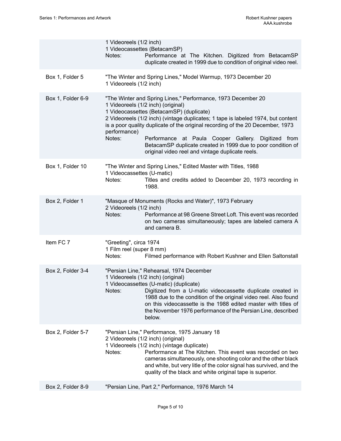|  |                   | 1 Videoreels (1/2 inch)<br>Notes:                            | 1 Videocassettes (BetacamSP)<br>Performance at The Kitchen. Digitized from BetacamSP<br>duplicate created in 1999 due to condition of original video reel.                                                                                                                                                                                                                                                                                                                                      |
|--|-------------------|--------------------------------------------------------------|-------------------------------------------------------------------------------------------------------------------------------------------------------------------------------------------------------------------------------------------------------------------------------------------------------------------------------------------------------------------------------------------------------------------------------------------------------------------------------------------------|
|  | Box 1, Folder 5   | 1 Videoreels (1/2 inch)                                      | "The Winter and Spring Lines," Model Warmup, 1973 December 20                                                                                                                                                                                                                                                                                                                                                                                                                                   |
|  | Box 1, Folder 6-9 | performance)<br>Notes:                                       | "The Winter and Spring Lines," Performance, 1973 December 20<br>1 Videoreels (1/2 inch) (original)<br>1 Videocassettes (BetacamSP) (duplicate)<br>2 Videoreels (1/2 inch) (vintage duplicates; 1 tape is labeled 1974, but content<br>is a poor quality duplicate of the original recording of the 20 December, 1973<br>Performance at Paula Cooper Gallery. Digitized from<br>BetacamSP duplicate created in 1999 due to poor condition of<br>original video reel and vintage duplicate reels. |
|  | Box 1, Folder 10  | 1 Videocassettes (U-matic)<br>Notes:                         | "The Winter and Spring Lines," Edited Master with Titles, 1988<br>Titles and credits added to December 20, 1973 recording in<br>1988.                                                                                                                                                                                                                                                                                                                                                           |
|  | Box 2, Folder 1   | 2 Videoreels (1/2 inch)<br>Notes:                            | "Masque of Monuments (Rocks and Water)", 1973 February<br>Performance at 98 Greene Street Loft. This event was recorded<br>on two cameras simultaneously; tapes are labeled camera A<br>and camera B.                                                                                                                                                                                                                                                                                           |
|  | Item FC 7         | "Greeting", circa 1974<br>1 Film reel (super 8 mm)<br>Notes: | Filmed performance with Robert Kushner and Ellen Saltonstall                                                                                                                                                                                                                                                                                                                                                                                                                                    |
|  | Box 2, Folder 3-4 | Notes:                                                       | "Persian Line," Rehearsal, 1974 December<br>1 Videoreels (1/2 inch) (original)<br>1 Videocassettes (U-matic) (duplicate)<br>Digitized from a U-matic videocassette duplicate created in<br>1988 due to the condition of the original video reel. Also found<br>on this videocassette is the 1988 edited master with titles of<br>the November 1976 performance of the Persian Line, described<br>below.                                                                                         |
|  | Box 2, Folder 5-7 | Notes:                                                       | "Persian Line," Performance, 1975 January 18<br>2 Videoreels (1/2 inch) (original)<br>1 Videoreels (1/2 inch) (vintage duplicate)<br>Performance at The Kitchen. This event was recorded on two<br>cameras simultaneously, one shooting color and the other black<br>and white, but very litle of the color signal has survived, and the<br>quality of the black and white original tape is superior.                                                                                           |
|  | Box 2, Folder 8-9 |                                                              | "Persian Line, Part 2," Performance, 1976 March 14                                                                                                                                                                                                                                                                                                                                                                                                                                              |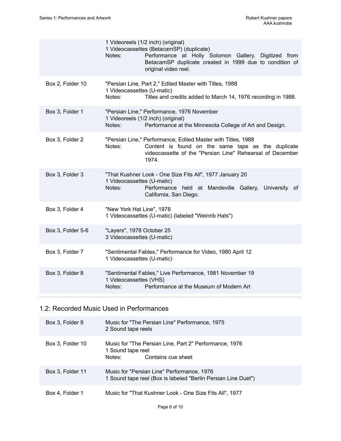|                   | 1 Videoreels (1/2 inch) (original)<br>1 Videocassettes (BetacamSP) (duplicate)<br>Performance at Holly Solomon Gallery. Digitized from<br>Notes:<br>BetacamSP duplicate created in 1999 due to condition of<br>original video reel. |
|-------------------|-------------------------------------------------------------------------------------------------------------------------------------------------------------------------------------------------------------------------------------|
| Box 2, Folder 10  | "Persian Line, Part 2," Edited Master with Titles, 1988<br>1 Videocassettes (U-matic)<br>Titles and credits added to March 14, 1976 recording in 1988.<br>Notes:                                                                    |
| Box 3, Folder 1   | "Persian Line," Performance, 1976 November<br>1 Videoreels (1/2 inch) (original)<br>Performance at the Minnesota College of Art and Design.<br>Notes:                                                                               |
| Box 3, Folder 2   | "Persian Line," Performance, Edited Master with Titles, 1988<br>Content is found on the same tape as the duplicate<br>Notes:<br>videocassette of the "Persian Line" Rehearsal of December<br>1974.                                  |
| Box 3, Folder 3   | "That Kushner Look - One Size Fits All", 1977 January 20<br>1 Videocassettes (U-matic)<br>Notes:<br>Performance held at Mandeville Gallery, University of<br>California, San Diego.                                                 |
| Box 3, Folder 4   | "New York Hat Line", 1978<br>1 Videocassettes (U-matic) (labeled "Weinrib Hats")                                                                                                                                                    |
| Box 3, Folder 5-6 | "Layers", 1978 October 25<br>3 Videocassettes (U-matic)                                                                                                                                                                             |
| Box 3, Folder 7   | "Sentimental Fables," Performance for Video, 1980 April 12<br>1 Videocassettes (U-matic)                                                                                                                                            |
| Box 3, Folder 8   | "Sentimental Fables," Live Performance, 1981 November 19<br>1 Videocassettes (VHS)<br>Performance at the Museum of Modern Art<br>Notes:                                                                                             |
|                   |                                                                                                                                                                                                                                     |

# 1.2: Recorded Music Used in Performances

| Box 3, Folder 9  | Music for "The Persian Line" Performance, 1975<br>2 Sound tape reels                                        |
|------------------|-------------------------------------------------------------------------------------------------------------|
| Box 3, Folder 10 | Music for "The Persian Line, Part 2" Performance, 1976<br>1 Sound tape reel<br>Notes:<br>Contains cue sheet |
| Box 3, Folder 11 | Music for "Persian Line" Performance, 1976<br>1 Sound tape reel (Box is labeled "Berlin Persian Line Duet") |
| Box 4, Folder 1  | Music for "That Kushner Look - One Size Fits All", 1977                                                     |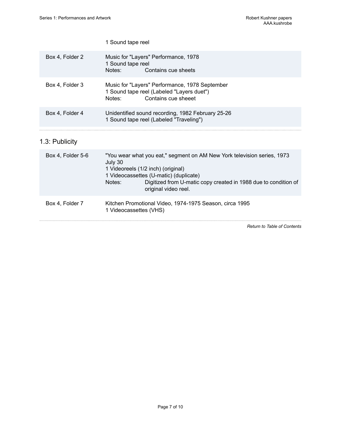|                   | 1 Sound tape reel                                                                                                                                                                                                                                                       |
|-------------------|-------------------------------------------------------------------------------------------------------------------------------------------------------------------------------------------------------------------------------------------------------------------------|
| Box 4, Folder 2   | Music for "Layers" Performance, 1978<br>1 Sound tape reel<br>Notes:<br>Contains cue sheets                                                                                                                                                                              |
| Box 4, Folder 3   | Music for "Layers" Performance, 1978 September<br>1 Sound tape reel (Labeled "Layers duet")<br>Contains cue sheeet<br>Notes:                                                                                                                                            |
| Box 4, Folder 4   | Unidentified sound recording, 1982 February 25-26<br>1 Sound tape reel (Labeled "Traveling")                                                                                                                                                                            |
| 1.3: Publicity    |                                                                                                                                                                                                                                                                         |
| Box 4, Folder 5-6 | "You wear what you eat," segment on AM New York television series, 1973<br>July 30<br>1 Videoreels (1/2 inch) (original)<br>1 Videocassettes (U-matic) (duplicate)<br>Digitized from U-matic copy created in 1988 due to condition of<br>Notes:<br>original video reel. |
| Box 4, Folder 7   | Kitchen Promotional Video, 1974-1975 Season, circa 1995<br>1 Videocassettes (VHS)                                                                                                                                                                                       |

*Return to Table of [Contents](#page-1-0)*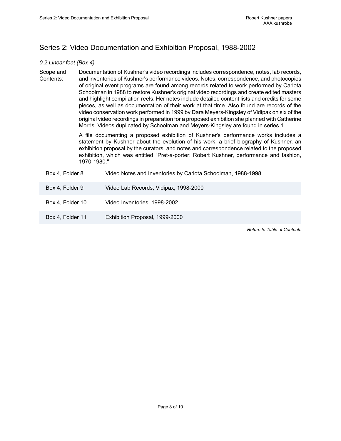# <span id="page-9-0"></span>Series 2: Video Documentation and Exhibition Proposal, 1988-2002

#### *0.2 Linear feet (Box 4)*

Scope and Contents: Documentation of Kushner's video recordings includes correspondence, notes, lab records, and inventories of Kushner's performance videos. Notes, correspondence, and photocopies of original event programs are found among records related to work performed by Carlota Schoolman in 1988 to restore Kushner's original video recordings and create edited masters and highlight compilation reels. Her notes include detailed content lists and credits for some pieces, as well as documentation of their work at that time. Also found are records of the video conservation work performed in 1999 by Dara Meyers-Kingsley of Vidipax on six of the original video recordings in preparation for a proposed exhibition she planned with Catherine Morris. Videos duplicated by Schoolman and Meyers-Kingsley are found in series 1.

> A file documenting a proposed exhibition of Kushner's performance works includes a statement by Kushner about the evolution of his work, a brief biography of Kushner, an exhibition proposal by the curators, and notes and correspondence related to the proposed exhibition, which was entitled "Pret-a-porter: Robert Kushner, performance and fashion, 1970-1980."

| Box 4, Folder 8 | Video Notes and Inventories by Carlota Schoolman, 1988-1998 |  |
|-----------------|-------------------------------------------------------------|--|
|-----------------|-------------------------------------------------------------|--|

- Box 4, Folder 9 Video Lab Records, Vidipax, 1998-2000
- Box 4, Folder 10 Video Inventories, 1998-2002
- Box 4, Folder 11 Exhibition Proposal, 1999-2000

*Return to Table of [Contents](#page-1-0)*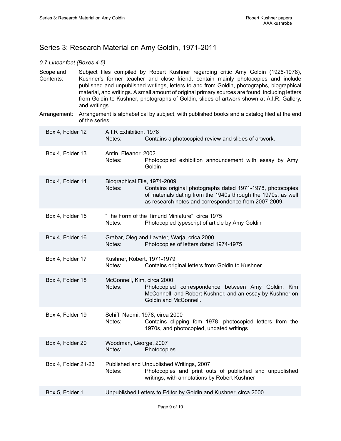# <span id="page-10-0"></span>Series 3: Research Material on Amy Goldin, 1971-2011

#### *0.7 Linear feet (Boxes 4-5)*

- Scope and Contents: Subject files compiled by Robert Kushner regarding critic Amy Goldin (1926-1978), Kushner's former teacher and close friend, contain mainly photocopies and include published and unpublished writings, letters to and from Goldin, photographs, biographical material, and writings. A small amount of original primary sources are found, including letters from Goldin to Kushner, photographs of Goldin, slides of artwork shown at A.I.R. Gallery, and writings.
- Arrangement: Arrangement is alphabetical by subject, with published books and a catalog filed at the end of the series.

| Box 4, Folder 12    | A.I.R Exhibition, 1978<br>Contains a photocopied review and slides of artwork.<br>Notes:                                                                                                                                      |  |
|---------------------|-------------------------------------------------------------------------------------------------------------------------------------------------------------------------------------------------------------------------------|--|
| Box 4, Folder 13    | Antin, Eleanor, 2002<br>Notes:<br>Photocopied exhibition announcement with essay by Amy<br>Goldin                                                                                                                             |  |
| Box 4, Folder 14    | Biographical File, 1971-2009<br>Notes:<br>Contains original photographs dated 1971-1978, photocopies<br>of materials dating from the 1940s through the 1970s, as well<br>as research notes and correspondence from 2007-2009. |  |
| Box 4, Folder 15    | "The Form of the Timurid Miniature", circa 1975<br>Photocopied typescript of article by Amy Goldin<br>Notes:                                                                                                                  |  |
| Box 4, Folder 16    | Grabar, Oleg and Lavater, Warja, crica 2000<br>Photocopies of letters dated 1974-1975<br>Notes:                                                                                                                               |  |
| Box 4, Folder 17    | Kushner, Robert, 1971-1979<br>Notes:<br>Contains original letters from Goldin to Kushner.                                                                                                                                     |  |
| Box 4, Folder 18    | McConnell, Kim, circa 2000<br>Notes:<br>Photocopied correspondence between Amy Goldin, Kim<br>McConnell, and Robert Kushner, and an essay by Kushner on<br>Goldin and McConnell.                                              |  |
| Box 4, Folder 19    | Schiff, Naomi, 1978, circa 2000<br>Contains clipping fom 1978, photocopied letters from the<br>Notes:<br>1970s, and photocopied, undated writings                                                                             |  |
| Box 4, Folder 20    | Woodman, George, 2007<br>Notes:<br>Photocopies                                                                                                                                                                                |  |
| Box 4, Folder 21-23 | Published and Unpublished Writings, 2007<br>Photocopies and print outs of published and unpublished<br>Notes:<br>writings, with annotations by Robert Kushner                                                                 |  |
| Box 5, Folder 1     | Unpublished Letters to Editor by Goldin and Kushner, circa 2000                                                                                                                                                               |  |
|                     |                                                                                                                                                                                                                               |  |